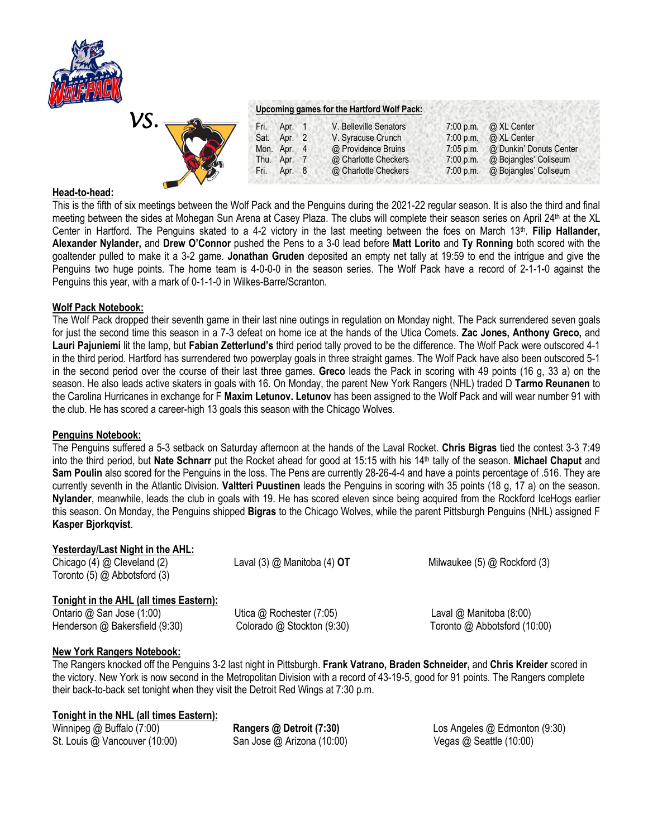

*VS.* 

### **Upcoming games for the Hartford Wolf Pack:**

|             | Fri. | Apr. 1      | V. Belleville Senators | 7:00 p.m. $\omega$ XL Center      |
|-------------|------|-------------|------------------------|-----------------------------------|
|             |      | Sat. Apr. 2 | V. Syracuse Crunch     | 7:00 p.m. $\omega$ XL Center      |
|             |      | Mon. Apr. 4 | @ Providence Bruins    | 7:05 p.m. @ Dunkin' Donuts Center |
|             |      | Thu. Apr. 7 | @ Charlotte Checkers   | 7:00 p.m. @ Bojangles' Coliseum   |
| <b>READ</b> | Fri. | Apr. 8      | @ Charlotte Checkers   | 7:00 p.m. @ Bojangles' Coliseum   |
|             |      |             |                        |                                   |

### **Head-to-head:**

This is the fifth of six meetings between the Wolf Pack and the Penguins during the 2021-22 regular season. It is also the third and final meeting between the sides at Mohegan Sun Arena at Casey Plaza. The clubs will complete their season series on April 24th at the XL Center in Hartford. The Penguins skated to a 4-2 victory in the last meeting between the foes on March 13<sup>th</sup>. Filip Hallander, **Alexander Nylander,** and **Drew O'Connor** pushed the Pens to a 3-0 lead before **Matt Lorito** and **Ty Ronning** both scored with the goaltender pulled to make it a 3-2 game. **Jonathan Gruden** deposited an empty net tally at 19:59 to end the intrigue and give the Penguins two huge points. The home team is 4-0-0-0 in the season series. The Wolf Pack have a record of 2-1-1-0 against the Penguins this year, with a mark of 0-1-1-0 in Wilkes-Barre/Scranton.

### **Wolf Pack Notebook:**

The Wolf Pack dropped their seventh game in their last nine outings in regulation on Monday night. The Pack surrendered seven goals for just the second time this season in a 7-3 defeat on home ice at the hands of the Utica Comets. **Zac Jones, Anthony Greco,** and **Lauri Pajuniemi** lit the lamp, but **Fabian Zetterlund's** third period tally proved to be the difference. The Wolf Pack were outscored 4-1 in the third period. Hartford has surrendered two powerplay goals in three straight games. The Wolf Pack have also been outscored 5-1 in the second period over the course of their last three games. **Greco** leads the Pack in scoring with 49 points (16 g, 33 a) on the season. He also leads active skaters in goals with 16. On Monday, the parent New York Rangers (NHL) traded D **Tarmo Reunanen** to the Carolina Hurricanes in exchange for F **Maxim Letunov. Letunov** has been assigned to the Wolf Pack and will wear number 91 with the club. He has scored a career-high 13 goals this season with the Chicago Wolves.

### **Penguins Notebook:**

The Penguins suffered a 5-3 setback on Saturday afternoon at the hands of the Laval Rocket. **Chris Bigras** tied the contest 3-3 7:49 into the third period, but **Nate Schnarr** put the Rocket ahead for good at 15:15 with his 14th tally of the season. **Michael Chaput** and **Sam Poulin** also scored for the Penguins in the loss. The Pens are currently 28-26-4-4 and have a points percentage of .516. They are currently seventh in the Atlantic Division. **Valtteri Puustinen** leads the Penguins in scoring with 35 points (18 g, 17 a) on the season. **Nylander**, meanwhile, leads the club in goals with 19. He has scored eleven since being acquired from the Rockford IceHogs earlier this season. On Monday, the Penguins shipped **Bigras** to the Chicago Wolves, while the parent Pittsburgh Penguins (NHL) assigned F **Kasper Bjorkqvist**.

# **Yesterday/Last Night in the AHL:**

Chicago (4) @ Cleveland (2) Laval (3) @ Manitoba (4) **OT** Milwaukee (5) @ Rockford (3) Toronto (5) @ Abbotsford (3)

# **Tonight in the AHL (all times Eastern):**

Ontario @ San Jose (1:00) Utica @ Rochester (7:05) Laval @ Manitoba (8:00) Henderson @ Bakersfield (9:30) Colorado @ Stockton (9:30) Toronto @ Abbotsford (10:00)

# **New York Rangers Notebook:**

The Rangers knocked off the Penguins 3-2 last night in Pittsburgh. **Frank Vatrano, Braden Schneider,** and **Chris Kreider** scored in the victory. New York is now second in the Metropolitan Division with a record of 43-19-5, good for 91 points. The Rangers complete their back-to-back set tonight when they visit the Detroit Red Wings at 7:30 p.m.

# **Tonight in the NHL (all times Eastern):**

St. Louis @ Vancouver (10:00) San Jose @ Arizona (10:00) Vegas @ Seattle (10:00)

Winnipeg @ Buffalo (7:00) **Rangers @ Detroit (7:30)** Los Angeles @ Edmonton (9:30)